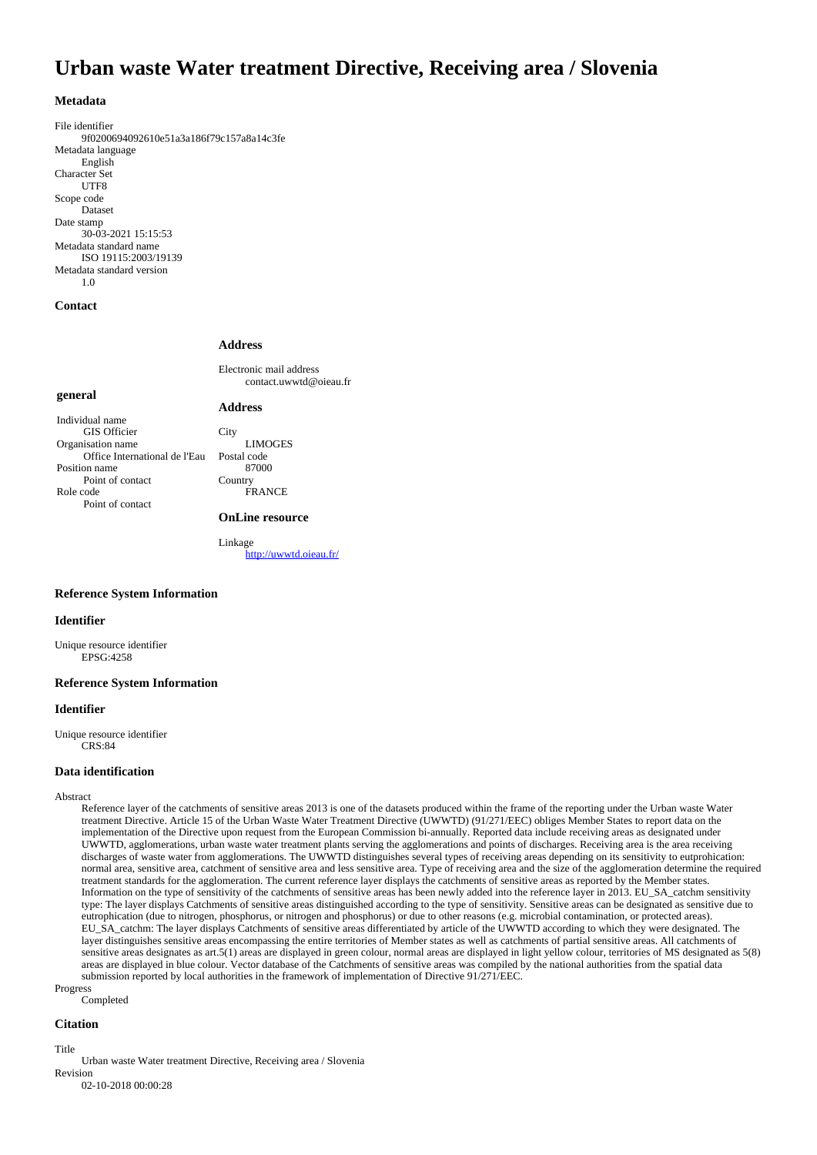# **Urban waste Water treatment Directive, Receiving area / Slovenia**

## **Metadata**

File identifier 9f0200694092610e51a3a186f79c157a8a14c3fe Metadata language English Character Set UTF8 Scope code Dataset Date stamp 30-03-2021 15:15:53 Metadata standard name ISO 19115:2003/19139 Metadata standard version 1.0

## **Contact**

#### **Address**

**Address**

Electronic mail address contact.uwwtd@oieau.fr

## **general**

Individual name GIS Officier Organisation name Office International de l'Eau Position name Point of contact Role code Point of contact

**City** LIMOGES Postal code 87000 **Country** FRANCE

## **OnLine resource**

Linkage <http://uwwtd.oieau.fr/>

## **Reference System Information**

## **Identifier**

Unique resource identifier EPSG:4258

## **Reference System Information**

### **Identifier**

Unique resource identifier CRS:84

## **Data identification**

#### Abstract

Reference layer of the catchments of sensitive areas 2013 is one of the datasets produced within the frame of the reporting under the Urban waste Water treatment Directive. Article 15 of the Urban Waste Water Treatment Directive (UWWTD) (91/271/EEC) obliges Member States to report data on the implementation of the Directive upon request from the European Commission bi-annually. Reported data include receiving areas as designated under UWWTD, agglomerations, urban waste water treatment plants serving the agglomerations and points of discharges. Receiving area is the area receiving discharges of waste water from agglomerations. The UWWTD distinguishes several types of receiving areas depending on its sensitivity to eutprohication: normal area, sensitive area, catchment of sensitive area and less sensitive area. Type of receiving area and the size of the agglomeration determine the required treatment standards for the agglomeration. The current reference layer displays the catchments of sensitive areas as reported by the Member states. Information on the type of sensitivity of the catchments of sensitive areas has been newly added into the reference layer in 2013. EU\_SA\_catchm sensitivity type: The layer displays Catchments of sensitive areas distinguished according to the type of sensitivity. Sensitive areas can be designated as sensitive due to eutrophication (due to nitrogen, phosphorus, or nitrogen and phosphorus) or due to other reasons (e.g. microbial contamination, or protected areas). EU\_SA\_catchm: The layer displays Catchments of sensitive areas differentiated by article of the UWWTD according to which they were designated. The layer distinguishes sensitive areas encompassing the entire territories of Member states as well as catchments of partial sensitive areas. All catchments of sensitive areas designates as art.5(1) areas are displayed in green colour, normal areas are displayed in light yellow colour, territories of MS designated as 5(8) areas are displayed in blue colour. Vector database of the Catchments of sensitive areas was compiled by the national authorities from the spatial data submission reported by local authorities in the framework of implementation of Directive 91/271/EEC.

Progress Completed

#### **Citation**

Title

Urban waste Water treatment Directive, Receiving area / Slovenia Revision

02-10-2018 00:00:28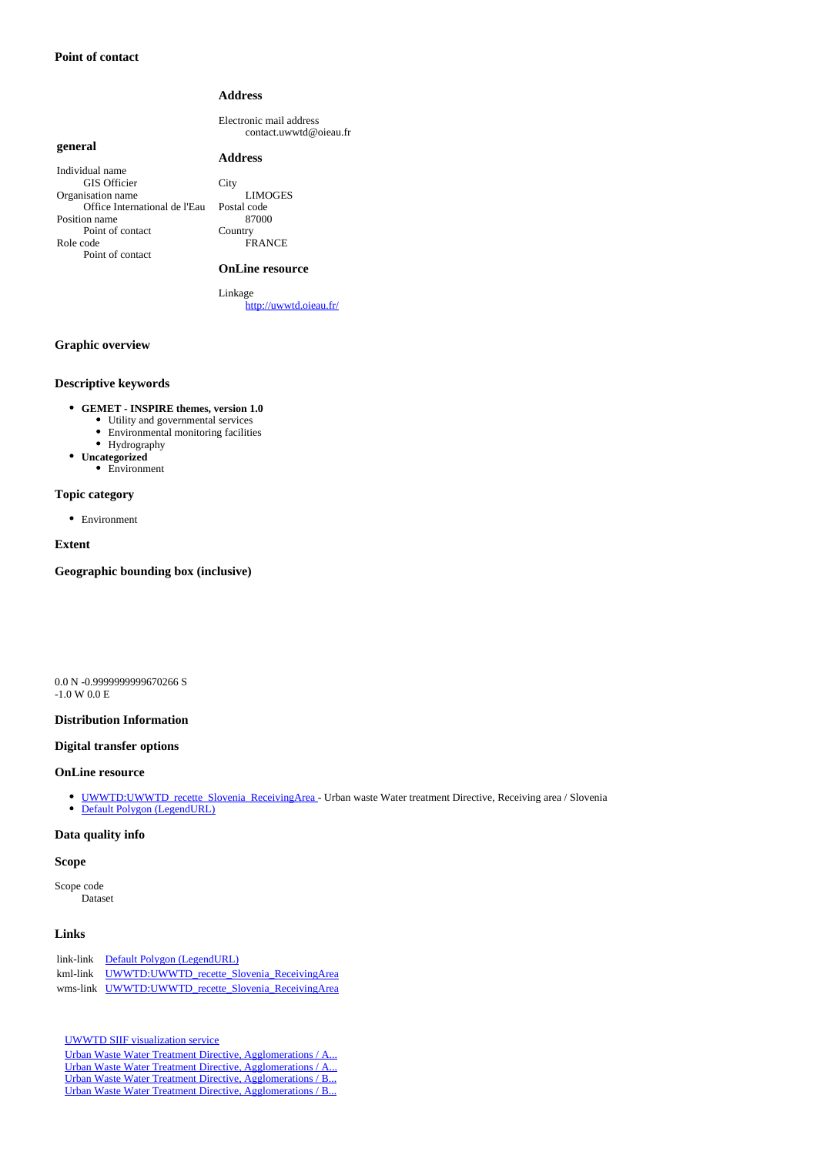## **Address**

Electronic mail address contact.uwwtd@oieau.fr

## **general**

## **Address**

Individual name GIS Officier Organisation name Office International de l'Eau Position name Point of contact Role code Point of contact

City LIMOGES Postal code 87000 Country FRANCE

#### **OnLine resource**

Linkage <http://uwwtd.oieau.fr/>

## **Graphic overview**

## **Descriptive keywords**

- **GEMET INSPIRE themes, version 1.0**
	- Utility and governmental services • Environmental monitoring facilities
	-
	- $\bullet~$  Hydrography
- **Uncategorized** Environment

## **Topic category**

Environment

#### **Extent**

**Geographic bounding box (inclusive)**

0.0 N -0.9999999999670266 S -1.0 W 0.0 E

#### **Distribution Information**

### **Digital transfer options**

### **OnLine resource**

- [UWWTD:UWWTD\\_recette\\_Slovenia\\_ReceivingArea](http://uwwtd.oieau.fr/services/ows?SERVICE=WMS&) Urban waste Water treatment Directive, Receiving area / Slovenia
- [Default Polygon \(LegendURL\)](http://uwwtd.oieau.fr/services/ows?service=WMS&request=GetLegendGraphic&format=image%2Fpng&width=20&height=20&layer=UWWTD%3AUWWTD_recette_Slovenia_ReceivingArea)

# **Data quality info**

# **Scope**

Scope code Dataset

## **Links**

| link-link Default Polygon (LegendURL)               |  |  |  |
|-----------------------------------------------------|--|--|--|
| kml-link UWWTD:UWWTD recette Slovenia ReceivingArea |  |  |  |
| wms-link UWWTD:UWWTD recette Slovenia ReceivingArea |  |  |  |

[UWWTD SIIF visualization service](http://uwwtd.oieau.fr/catalogue/srv/ows/md.viewer#/full_view/b1c543def08ee8d3f8198bcae4a76003e1d3b270)

[Urban Waste Water Treatment Directive, Agglomerations / A...](http://uwwtd.oieau.fr/catalogue/srv/ows/md.viewer#/full_view/57f7d81269179e088103a568b452796ec6255d74) [Urban Waste Water Treatment Directive, Agglomerations / A...](http://uwwtd.oieau.fr/catalogue/srv/ows/md.viewer#/full_view/f2021b19674505c9cbc51ad27252c89474f2a5c1) [Urban Waste Water Treatment Directive, Agglomerations / B...](http://uwwtd.oieau.fr/catalogue/srv/ows/md.viewer#/full_view/27a73a38ea8295eb84db23c9b05b3fe449b1f130) [Urban Waste Water Treatment Directive, Agglomerations / B...](http://uwwtd.oieau.fr/catalogue/srv/ows/md.viewer#/full_view/bbc9528aa3c633ee2648cefdb561fd974fe3cb75)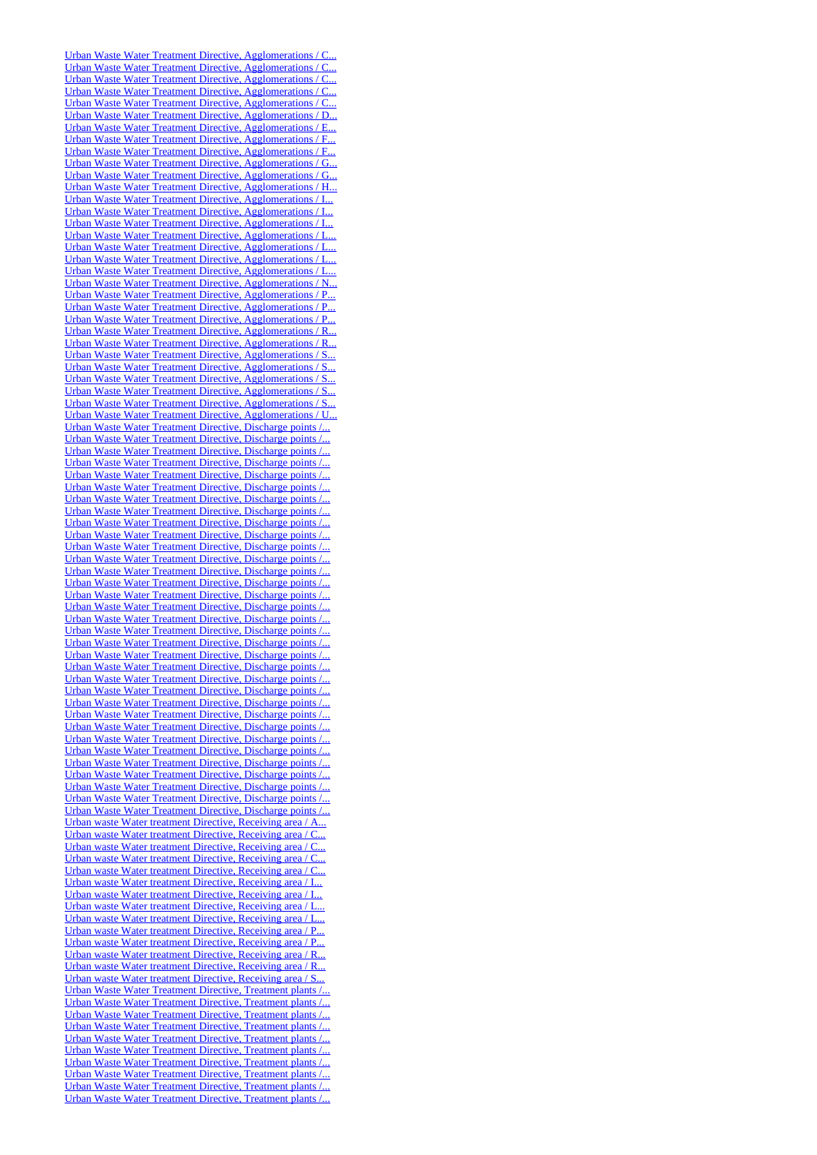[Urban Waste Water Treatment Directive, Agglomerations / C...](http://uwwtd.oieau.fr/catalogue/srv/ows/md.viewer#/full_view/5b628e65b4c29115ad48a7213bddfa93f05c3352) [Urban Waste Water Treatment Directive, Agglomerations / C...](http://uwwtd.oieau.fr/catalogue/srv/ows/md.viewer#/full_view/f2775715e88037d5a99f1c23d63782880f76ff8d) Urban Waste Water Treatment Directive, Agglomerations / C. [Urban Waste Water Treatment Directive, Agglomerations / C...](http://uwwtd.oieau.fr/catalogue/srv/ows/md.viewer#/full_view/e3dcd08579cd958bcaa5028b7b5fc99c5b62dcec) [Urban Waste Water Treatment Directive, Agglomerations / C...](http://uwwtd.oieau.fr/catalogue/srv/ows/md.viewer#/full_view/1ef77ad02adf7639d050d4d526398c00aa94916e) [Urban Waste Water Treatment Directive, Agglomerations / D...](http://uwwtd.oieau.fr/catalogue/srv/ows/md.viewer#/full_view/804700148cb60cdb28caf445d97afdb5cf6fe24b) [Urban Waste Water Treatment Directive, Agglomerations / E...](http://uwwtd.oieau.fr/catalogue/srv/ows/md.viewer#/full_view/481965886a2f5a6d0a9bccc541e40b7a9740034f) [Urban Waste Water Treatment Directive, Agglomerations / F...](http://uwwtd.oieau.fr/catalogue/srv/ows/md.viewer#/full_view/d09fff7838800962ff00eb03af0c08a621f33514) [Urban Waste Water Treatment Directive, Agglomerations / F...](http://uwwtd.oieau.fr/catalogue/srv/ows/md.viewer#/full_view/010adfecf26adcdd08dd7cb8f2a72ca8a88ca5dc) [Urban Waste Water Treatment Directive, Agglomerations / G...](http://uwwtd.oieau.fr/catalogue/srv/ows/md.viewer#/full_view/c890dbf430e42afab5bafa3e42779d06b81f3b0d) [Urban Waste Water Treatment Directive, Agglomerations / G...](http://uwwtd.oieau.fr/catalogue/srv/ows/md.viewer#/full_view/9517f02185df1eb24200070e249e00b5c3f3e960) [Urban Waste Water Treatment Directive, Agglomerations / H...](http://uwwtd.oieau.fr/catalogue/srv/ows/md.viewer#/full_view/92faadd346885cb3d814e28a66265189e2a04470) [Urban Waste Water Treatment Directive, Agglomerations / I...](http://uwwtd.oieau.fr/catalogue/srv/ows/md.viewer#/full_view/59d3c902f881525c4b991337d5a5b4816337ed93) [Urban Waste Water Treatment Directive, Agglomerations / I...](http://uwwtd.oieau.fr/catalogue/srv/ows/md.viewer#/full_view/1c6b1704fd655459b15dde46aa59f9fb9e89d84b) [Urban Waste Water Treatment Directive, Agglomerations / I...](http://uwwtd.oieau.fr/catalogue/srv/ows/md.viewer#/full_view/ab11587b17d1dcd1b083d801d32a78789760e4fc) [Urban Waste Water Treatment Directive, Agglomerations / L...](http://uwwtd.oieau.fr/catalogue/srv/ows/md.viewer#/full_view/ae7ce79438666e8228ab24cfa3485f45d8a24d77) [Urban Waste Water Treatment Directive, Agglomerations / L...](http://uwwtd.oieau.fr/catalogue/srv/ows/md.viewer#/full_view/31af15e6ad30b92dab222b49cebd454e61b072e4) [Urban Waste Water Treatment Directive, Agglomerations / L...](http://uwwtd.oieau.fr/catalogue/srv/ows/md.viewer#/full_view/73c41570ebaea4dc148dd72c9a5d42dd66e6ea12) [Urban Waste Water Treatment Directive, Agglomerations / L...](http://uwwtd.oieau.fr/catalogue/srv/ows/md.viewer#/full_view/bdd726e39690f22dd423d8d8127d8c324c21844c) [Urban Waste Water Treatment Directive, Agglomerations / N...](http://uwwtd.oieau.fr/catalogue/srv/ows/md.viewer#/full_view/ebd39bf8e9e1df40f7ec870649c00607fc0cebfd) [Urban Waste Water Treatment Directive, Agglomerations / P...](http://uwwtd.oieau.fr/catalogue/srv/ows/md.viewer#/full_view/0474d85da4542c32b006a7f30be67d7c53cf66d9) [Urban Waste Water Treatment Directive, Agglomerations / P...](http://uwwtd.oieau.fr/catalogue/srv/ows/md.viewer#/full_view/e91553b13416af37cb1c1af4b41df0a69d95af2b) [Urban Waste Water Treatment Directive, Agglomerations / P...](http://uwwtd.oieau.fr/catalogue/srv/ows/md.viewer#/full_view/c416485a93918f0e9c2cdef557cc231b87bc4b1d) [Urban Waste Water Treatment Directive, Agglomerations / R...](http://uwwtd.oieau.fr/catalogue/srv/ows/md.viewer#/full_view/425d94842a2bba981a98cbedf3fb0610f66f2f25) [Urban Waste Water Treatment Directive, Agglomerations / R...](http://uwwtd.oieau.fr/catalogue/srv/ows/md.viewer#/full_view/0279b40fdf6e847eee8795ec343d9f3f3826bf70) [Urban Waste Water Treatment Directive, Agglomerations / S...](http://uwwtd.oieau.fr/catalogue/srv/ows/md.viewer#/full_view/44f4d12a1a4361512000478b524e37e267b55e4c) [Urban Waste Water Treatment Directive, Agglomerations / S...](http://uwwtd.oieau.fr/catalogue/srv/ows/md.viewer#/full_view/c4997cad78a8180dcf2370ea9c8f258c5cfdaf7f) [Urban Waste Water Treatment Directive, Agglomerations / S...](http://uwwtd.oieau.fr/catalogue/srv/ows/md.viewer#/full_view/8bbb2d949392820fdc973afe131eebd7e29d0bb5) [Urban Waste Water Treatment Directive, Agglomerations / S...](http://uwwtd.oieau.fr/catalogue/srv/ows/md.viewer#/full_view/14766c33edd2caffedcef79f51d12ee2aef30e93) [Urban Waste Water Treatment Directive, Agglomerations / S...](http://uwwtd.oieau.fr/catalogue/srv/ows/md.viewer#/full_view/76889231e6cca4474054b0a028ac73d7e63389b1) [Urban Waste Water Treatment Directive, Agglomerations / U...](http://uwwtd.oieau.fr/catalogue/srv/ows/md.viewer#/full_view/78c92ceb3475ed32216b6a9a5b49e720d8d03c6d) [Urban Waste Water Treatment Directive, Discharge points /...](http://uwwtd.oieau.fr/catalogue/srv/ows/md.viewer#/full_view/077569cf1eec4fcc60c2ceac84c1b936efb43ed7) [Urban Waste Water Treatment Directive, Discharge points /...](http://uwwtd.oieau.fr/catalogue/srv/ows/md.viewer#/full_view/76922bec6ae6b1f8912116b177e79dced4fc5017) [Urban Waste Water Treatment Directive, Discharge points /...](http://uwwtd.oieau.fr/catalogue/srv/ows/md.viewer#/full_view/424d903b7875a0d02d791464aec1d32067c0a456) [Urban Waste Water Treatment Directive, Discharge points /...](http://uwwtd.oieau.fr/catalogue/srv/ows/md.viewer#/full_view/8f0f27482d76ed5c328b7bf52fd3b0566206d68c) [Urban Waste Water Treatment Directive, Discharge points /...](http://uwwtd.oieau.fr/catalogue/srv/ows/md.viewer#/full_view/912a27a10bff193276a5f4fde6422b5ce90a05d7) [Urban Waste Water Treatment Directive, Discharge points /...](http://uwwtd.oieau.fr/catalogue/srv/ows/md.viewer#/full_view/f951e95b14312f8e49a717dd7bc54532d744fd04) [Urban Waste Water Treatment Directive, Discharge points /...](http://uwwtd.oieau.fr/catalogue/srv/ows/md.viewer#/full_view/395eab5983b1e859a4493559e90de24d47cae488) [Urban Waste Water Treatment Directive, Discharge points /...](http://uwwtd.oieau.fr/catalogue/srv/ows/md.viewer#/full_view/67b2e20fc0f3899fc8e6f724eeeb3b2caf5dc747) [Urban Waste Water Treatment Directive, Discharge points /...](http://uwwtd.oieau.fr/catalogue/srv/ows/md.viewer#/full_view/a9623924099b0cd92e86eb031a5df8d910217c17) [Urban Waste Water Treatment Directive, Discharge points /...](http://uwwtd.oieau.fr/catalogue/srv/ows/md.viewer#/full_view/ece7b6bf742b800902f25bec091e538d9eb42816) [Urban Waste Water Treatment Directive, Discharge points /...](http://uwwtd.oieau.fr/catalogue/srv/ows/md.viewer#/full_view/bdee6104a0cb2e58c36dc855c8d9ff8b2b5e3487) [Urban Waste Water Treatment Directive, Discharge points /...](http://uwwtd.oieau.fr/catalogue/srv/ows/md.viewer#/full_view/6c36fddbc3b0f636636a55deeab66a19fdcf19d3) [Urban Waste Water Treatment Directive, Discharge points /...](http://uwwtd.oieau.fr/catalogue/srv/ows/md.viewer#/full_view/4c891c1e1bc7d5ca58e728eb9521dc425923339c) [Urban Waste Water Treatment Directive, Discharge points /...](http://uwwtd.oieau.fr/catalogue/srv/ows/md.viewer#/full_view/51b67e8c7c909e207b575713505c6db9a021ee36) [Urban Waste Water Treatment Directive, Discharge points /...](http://uwwtd.oieau.fr/catalogue/srv/ows/md.viewer#/full_view/811fbc2b827296d79e1bdcb510a9f49c0f13abc2) [Urban Waste Water Treatment Directive, Discharge points /...](http://uwwtd.oieau.fr/catalogue/srv/ows/md.viewer#/full_view/9a1b32b5469952845a2a7d87ecad51c69484ebc4) [Urban Waste Water Treatment Directive, Discharge points /...](http://uwwtd.oieau.fr/catalogue/srv/ows/md.viewer#/full_view/891cbde1a01d7e2b4f3c64e7aa04d99f8b92314f) [Urban Waste Water Treatment Directive, Discharge points /...](http://uwwtd.oieau.fr/catalogue/srv/ows/md.viewer#/full_view/dc9321c69ae39fe581ae7937411b6a7abffc3f6e) [Urban Waste Water Treatment Directive, Discharge points /...](http://uwwtd.oieau.fr/catalogue/srv/ows/md.viewer#/full_view/1cd450fc53624588ac995cc35dc768eb409fca3e) [Urban Waste Water Treatment Directive, Discharge points /...](http://uwwtd.oieau.fr/catalogue/srv/ows/md.viewer#/full_view/8b4134ed4630708e9eb75beab8ba50d69bf61b1d) [Urban Waste Water Treatment Directive, Discharge points /...](http://uwwtd.oieau.fr/catalogue/srv/ows/md.viewer#/full_view/350af881ae3dfaeeb8a38cc978057f3444ca6570) [Urban Waste Water Treatment Directive, Discharge points /...](http://uwwtd.oieau.fr/catalogue/srv/ows/md.viewer#/full_view/a519201711581e62d94ec033b137dd6e6b434982) [Urban Waste Water Treatment Directive, Discharge points /...](http://uwwtd.oieau.fr/catalogue/srv/ows/md.viewer#/full_view/ef3cc7f6bf42cb015a6a867e21ef16edf3e2ef23) Urban Waste Water Treatment Directive, Discharge points / Urban Waste Water Treatment Directive, Discharge points / [Urban Waste Water Treatment Directive, Discharge points /...](http://uwwtd.oieau.fr/catalogue/srv/ows/md.viewer#/full_view/1cf9bcb015d9d969a3c06b6f51671ffd41d12bc0) [Urban Waste Water Treatment Directive, Discharge points /...](http://uwwtd.oieau.fr/catalogue/srv/ows/md.viewer#/full_view/97e336ad0461f4283856f66cad610e1eee918a52) [Urban Waste Water Treatment Directive, Discharge points /...](http://uwwtd.oieau.fr/catalogue/srv/ows/md.viewer#/full_view/8995e1257d8df55075c82ec7dc26a18801d96351) [Urban Waste Water Treatment Directive, Discharge points /...](http://uwwtd.oieau.fr/catalogue/srv/ows/md.viewer#/full_view/ac2d436748c2b5dcf733cddc5aeadc2957340ff8) [Urban Waste Water Treatment Directive, Discharge points /...](http://uwwtd.oieau.fr/catalogue/srv/ows/md.viewer#/full_view/aabbd19699278234c1e5da2fdda43f690e2b2072) [Urban Waste Water Treatment Directive, Discharge points /...](http://uwwtd.oieau.fr/catalogue/srv/ows/md.viewer#/full_view/d136df0a0bc78cb717e13aab577afdaa21f3dccf) [Urban Waste Water Treatment Directive, Discharge points /...](http://uwwtd.oieau.fr/catalogue/srv/ows/md.viewer#/full_view/f0f1c9cc3d78e3a1314dcd84b9f8492a1027a85b) [Urban Waste Water Treatment Directive, Discharge points /...](http://uwwtd.oieau.fr/catalogue/srv/ows/md.viewer#/full_view/56971c79ff6173bf10ebab01da02b35577699686) Urban waste Water treatment Directive, Receiving area / A. [Urban waste Water treatment Directive, Receiving area / C...](http://uwwtd.oieau.fr/catalogue/srv/ows/md.viewer#/full_view/ddfe2a51800f7effd9852f50762cfa6216a31fe8) [Urban waste Water treatment Directive, Receiving area / C...](http://uwwtd.oieau.fr/catalogue/srv/ows/md.viewer#/full_view/0f7832c51afc43cac0c89899781a399de0b0e04a) [Urban waste Water treatment Directive, Receiving area / C...](http://uwwtd.oieau.fr/catalogue/srv/ows/md.viewer#/full_view/0999174c0d2982fdea9be07c27bfd0ff323d64d0) [Urban waste Water treatment Directive, Receiving area / C...](http://uwwtd.oieau.fr/catalogue/srv/ows/md.viewer#/full_view/5227395618eb647493f2a8c68d06d7cf2449455c) [Urban waste Water treatment Directive, Receiving area / I...](http://uwwtd.oieau.fr/catalogue/srv/ows/md.viewer#/full_view/2401161e3e49de1761470d7ad4c3be6cb1c75eb3) [Urban waste Water treatment Directive, Receiving area / I...](http://uwwtd.oieau.fr/catalogue/srv/ows/md.viewer#/full_view/b581c2b264061fc51302685940452b3d436e12bb) [Urban waste Water treatment Directive, Receiving area / L...](http://uwwtd.oieau.fr/catalogue/srv/ows/md.viewer#/full_view/b05945c7f44dfaf707bff45fc16228a36cea5729) [Urban waste Water treatment Directive, Receiving area / L...](http://uwwtd.oieau.fr/catalogue/srv/ows/md.viewer#/full_view/00bc96f5094c62af51ce8bc372af1a283bdb6341) [Urban waste Water treatment Directive, Receiving area / P...](http://uwwtd.oieau.fr/catalogue/srv/ows/md.viewer#/full_view/6ffa929f74bcbbe9b61df50a6a7a91e0f86432f1) [Urban waste Water treatment Directive, Receiving area / P...](http://uwwtd.oieau.fr/catalogue/srv/ows/md.viewer#/full_view/3b014692338d54a94ee9892afeae6abb90a7d765) [Urban waste Water treatment Directive, Receiving area / R...](http://uwwtd.oieau.fr/catalogue/srv/ows/md.viewer#/full_view/1308a99e2d563884191a690ad52a56f266968c61) [Urban waste Water treatment Directive, Receiving area / R...](http://uwwtd.oieau.fr/catalogue/srv/ows/md.viewer#/full_view/36503f6d796b7e29c7d96b09ef8c14f400f81dd9) [Urban waste Water treatment Directive, Receiving area / S...](http://uwwtd.oieau.fr/catalogue/srv/ows/md.viewer#/full_view/16acb3be339e469f8cf3e7121c45d90408e871f6) Urban Waste Water Treatment Directive, Treatment plants [Urban Waste Water Treatment Directive, Treatment plants /...](http://uwwtd.oieau.fr/catalogue/srv/ows/md.viewer#/full_view/bca0c35f6a6eef7f99a39f91ad9ab42593d4de58) [Urban Waste Water Treatment Directive, Treatment plants /...](http://uwwtd.oieau.fr/catalogue/srv/ows/md.viewer#/full_view/79c8b16019d32f2374721a46ed68b27c7ca13e3e) [Urban Waste Water Treatment Directive, Treatment plants /...](http://uwwtd.oieau.fr/catalogue/srv/ows/md.viewer#/full_view/d7f02676b7b727890b24dd4b5742d8e18cf5a0b9) [Urban Waste Water Treatment Directive, Treatment plants /...](http://uwwtd.oieau.fr/catalogue/srv/ows/md.viewer#/full_view/a5ab0d56d60c781b39856299d5a8baaaed3cd1fc) [Urban Waste Water Treatment Directive, Treatment plants /...](http://uwwtd.oieau.fr/catalogue/srv/ows/md.viewer#/full_view/ef268bd425f47f98134f7fbe9cc533a936aea763) [Urban Waste Water Treatment Directive, Treatment plants /...](http://uwwtd.oieau.fr/catalogue/srv/ows/md.viewer#/full_view/0b3d405f94cca841715d2d679a595b0a74bf07d6) [Urban Waste Water Treatment Directive, Treatment plants /...](http://uwwtd.oieau.fr/catalogue/srv/ows/md.viewer#/full_view/002acf6e492c6feb9cb1eca52edefc9842b227cc) [Urban Waste Water Treatment Directive, Treatment plants /...](http://uwwtd.oieau.fr/catalogue/srv/ows/md.viewer#/full_view/7b74e9123e3ad47cbc8d3e8311abfbf82118476f) Urban Waste Water Treatment Directive, Treatment plants /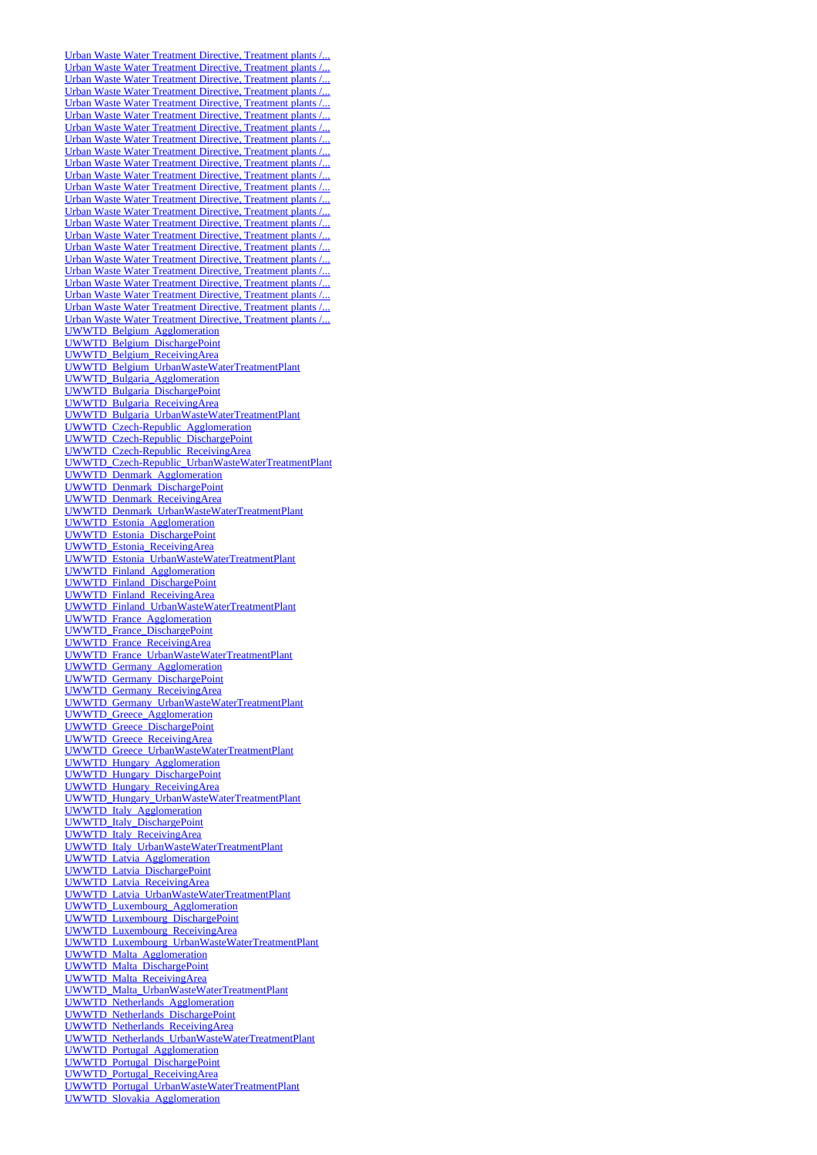[Urban Waste Water Treatment Directive, Treatment plants /...](http://uwwtd.oieau.fr/catalogue/srv/ows/md.viewer#/full_view/97def62f5c4b3f6da415b2ee1bdeee212592b609) [Urban Waste Water Treatment Directive, Treatment plants /...](http://uwwtd.oieau.fr/catalogue/srv/ows/md.viewer#/full_view/a8dd0fea3e7ad411d026f422a9ab01581ae948d1) [Urban Waste Water Treatment Directive, Treatment plants /...](http://uwwtd.oieau.fr/catalogue/srv/ows/md.viewer#/full_view/d57ef68af270735aa9d8e16097b5b4320879d248) [Urban Waste Water Treatment Directive, Treatment plants /...](http://uwwtd.oieau.fr/catalogue/srv/ows/md.viewer#/full_view/2e81daea3e046f96e1df81f09593f7daf527881e) [Urban Waste Water Treatment Directive, Treatment plants /...](http://uwwtd.oieau.fr/catalogue/srv/ows/md.viewer#/full_view/8de78e7eb214d593572dc98f81ca7f25302efedc) [Urban Waste Water Treatment Directive, Treatment plants /...](http://uwwtd.oieau.fr/catalogue/srv/ows/md.viewer#/full_view/bf1357affb45f399335ef241519009ce3a78cd8d) [Urban Waste Water Treatment Directive, Treatment plants /...](http://uwwtd.oieau.fr/catalogue/srv/ows/md.viewer#/full_view/d15eb23f5bf40de2dea26471b38e68dca0939ade) [Urban Waste Water Treatment Directive, Treatment plants /...](http://uwwtd.oieau.fr/catalogue/srv/ows/md.viewer#/full_view/1e29f7d7285a7ab7926ca37b6925af1581dd6dff) [Urban Waste Water Treatment Directive, Treatment plants /...](http://uwwtd.oieau.fr/catalogue/srv/ows/md.viewer#/full_view/7a158501acd2f77874d07ce3bddfc7bdd1f2da14) [Urban Waste Water Treatment Directive, Treatment plants /...](http://uwwtd.oieau.fr/catalogue/srv/ows/md.viewer#/full_view/f00b305a9357471b9abc6ce5069ecfb943d14641) [Urban Waste Water Treatment Directive, Treatment plants /...](http://uwwtd.oieau.fr/catalogue/srv/ows/md.viewer#/full_view/0ad7834582c9bad1797e409e6830e9db7fe1f489) [Urban Waste Water Treatment Directive, Treatment plants /...](http://uwwtd.oieau.fr/catalogue/srv/ows/md.viewer#/full_view/1b56cc08d884d552d4943c13795cc07225bac40f) [Urban Waste Water Treatment Directive, Treatment plants /...](http://uwwtd.oieau.fr/catalogue/srv/ows/md.viewer#/full_view/a2919511bab9b5943128ec662daf50c58030df23) [Urban Waste Water Treatment Directive, Treatment plants /...](http://uwwtd.oieau.fr/catalogue/srv/ows/md.viewer#/full_view/edc96af8f42e1a4a7b0a2dc4a28b32ef42604783) [Urban Waste Water Treatment Directive, Treatment plants /...](http://uwwtd.oieau.fr/catalogue/srv/ows/md.viewer#/full_view/fb878c358115854197a77f9771463e8830711aee) [Urban Waste Water Treatment Directive, Treatment plants /...](http://uwwtd.oieau.fr/catalogue/srv/ows/md.viewer#/full_view/e87c65034364c6ae249362fe7f98fa2d44935761) [Urban Waste Water Treatment Directive, Treatment plants /...](http://uwwtd.oieau.fr/catalogue/srv/ows/md.viewer#/full_view/115497a12207bd3e92de76272c814a97e98e1e2d) [Urban Waste Water Treatment Directive, Treatment plants /...](http://uwwtd.oieau.fr/catalogue/srv/ows/md.viewer#/full_view/e7cf223294aa2298837fc5c56f139e7f4c4225ae) [Urban Waste Water Treatment Directive, Treatment plants /...](http://uwwtd.oieau.fr/catalogue/srv/ows/md.viewer#/full_view/589b48e79a0d5acc50ab3bf192274cbc1597fcd6) [Urban Waste Water Treatment Directive, Treatment plants /...](http://uwwtd.oieau.fr/catalogue/srv/ows/md.viewer#/full_view/37dc1746df3e3ecaef0836033b83b9c6a8064e6a) [Urban Waste Water Treatment Directive, Treatment plants /...](http://uwwtd.oieau.fr/catalogue/srv/ows/md.viewer#/full_view/8e17c822fbe18debbc0243bebc2399026f7d40d7) [Urban Waste Water Treatment Directive, Treatment plants /...](http://uwwtd.oieau.fr/catalogue/srv/ows/md.viewer#/full_view/63c2731399b403f54ac509930535df5f7f941079) [Urban Waste Water Treatment Directive, Treatment plants /...](http://uwwtd.oieau.fr/catalogue/srv/ows/md.viewer#/full_view/dae17f9b1098e920cc140e3ed6a18743c9031f20) [UWWTD\\_Belgium\\_Agglomeration](http://uwwtd.oieau.fr/catalogue/srv/ows/md.viewer#/full_view/0e37f19cde9cf212d37a6390da2ae0b60c9d4b0d) [UWWTD\\_Belgium\\_DischargePoint](http://uwwtd.oieau.fr/catalogue/srv/ows/md.viewer#/full_view/2e766046f8b34747819ad14c82e2c1ef1b6eb3d5) [UWWTD\\_Belgium\\_ReceivingArea](http://uwwtd.oieau.fr/catalogue/srv/ows/md.viewer#/full_view/6d9fe996ca04b560b8751f4a1745cc48b1a4b2c3) [UWWTD\\_Belgium\\_UrbanWasteWaterTreatmentPlant](http://uwwtd.oieau.fr/catalogue/srv/ows/md.viewer#/full_view/8f4befd00e7c1733b68706d04a2563ca13737d12) [UWWTD\\_Bulgaria\\_Agglomeration](http://uwwtd.oieau.fr/catalogue/srv/ows/md.viewer#/full_view/bd139988e958b0f46024df55c006039e2e778fe1) [UWWTD\\_Bulgaria\\_DischargePoint](http://uwwtd.oieau.fr/catalogue/srv/ows/md.viewer#/full_view/bcbf9579bd4ca47e65d5d47119013d5b49e53b68) [UWWTD\\_Bulgaria\\_ReceivingArea](http://uwwtd.oieau.fr/catalogue/srv/ows/md.viewer#/full_view/64246917c315a44f01140071ec788415c7586be7) [UWWTD\\_Bulgaria\\_UrbanWasteWaterTreatmentPlant](http://uwwtd.oieau.fr/catalogue/srv/ows/md.viewer#/full_view/c137b898a180622eba55969c9ee9d472758077fd) [UWWTD\\_Czech-Republic\\_Agglomeration](http://uwwtd.oieau.fr/catalogue/srv/ows/md.viewer#/full_view/7522b068ca64f119afb40b421ac69cb312043186) [UWWTD\\_Czech-Republic\\_DischargePoint](http://uwwtd.oieau.fr/catalogue/srv/ows/md.viewer#/full_view/c9e1924988fd8a3c85d34892353f8d11f8a32c03) [UWWTD\\_Czech-Republic\\_ReceivingArea](http://uwwtd.oieau.fr/catalogue/srv/ows/md.viewer#/full_view/2bd2cf0020f884ef9cd7deaadaea1073e3f5d5c9) [UWWTD\\_Czech-Republic\\_UrbanWasteWaterTreatmentPlant](http://uwwtd.oieau.fr/catalogue/srv/ows/md.viewer#/full_view/4c1db7ed9a2164b15291ef34f0b6f3d844216de1) [UWWTD\\_Denmark\\_Agglomeration](http://uwwtd.oieau.fr/catalogue/srv/ows/md.viewer#/full_view/754d780e7058e678c31b117bcff9befcf1a87a7e) [UWWTD\\_Denmark\\_DischargePoint](http://uwwtd.oieau.fr/catalogue/srv/ows/md.viewer#/full_view/f55088fe7624ffdf8c2f1223f77e2c1f8505be8a) [UWWTD\\_Denmark\\_ReceivingArea](http://uwwtd.oieau.fr/catalogue/srv/ows/md.viewer#/full_view/173bf03b748684872c6b05e2d0bb137246dbc2ca) [UWWTD\\_Denmark\\_UrbanWasteWaterTreatmentPlant](http://uwwtd.oieau.fr/catalogue/srv/ows/md.viewer#/full_view/7e6f5442ddea72aa9ebb39fef315aec84586f282) [UWWTD\\_Estonia\\_Agglomeration](http://uwwtd.oieau.fr/catalogue/srv/ows/md.viewer#/full_view/f4ad072f01e3d57b54e2a3810f87b3bc3ccedc89) [UWWTD\\_Estonia\\_DischargePoint](http://uwwtd.oieau.fr/catalogue/srv/ows/md.viewer#/full_view/f2c87c1d46a7b758f65d65ad79eff418807d5f42) [UWWTD\\_Estonia\\_ReceivingArea](http://uwwtd.oieau.fr/catalogue/srv/ows/md.viewer#/full_view/e5c73e8f4c2c73a65c78feb74b1f60e137bd1383) [UWWTD\\_Estonia\\_UrbanWasteWaterTreatmentPlant](http://uwwtd.oieau.fr/catalogue/srv/ows/md.viewer#/full_view/db0218f6ec9959ef7d4aec3646d5b467f91f0e9c) [UWWTD\\_Finland\\_Agglomeration](http://uwwtd.oieau.fr/catalogue/srv/ows/md.viewer#/full_view/243886bac5b74f19c12fe0822942e5d0c935c99f) [UWWTD\\_Finland\\_DischargePoint](http://uwwtd.oieau.fr/catalogue/srv/ows/md.viewer#/full_view/f47777a595965f393789aaec4d70c75fc11e2821) [UWWTD\\_Finland\\_ReceivingArea](http://uwwtd.oieau.fr/catalogue/srv/ows/md.viewer#/full_view/8a24aacdd65cfd42c031562db27ec5294b254758) [UWWTD\\_Finland\\_UrbanWasteWaterTreatmentPlant](http://uwwtd.oieau.fr/catalogue/srv/ows/md.viewer#/full_view/c4dd08ec9f26d876ad9e328759a5fbbf4afe16d3) [UWWTD\\_France\\_Agglomeration](http://uwwtd.oieau.fr/catalogue/srv/ows/md.viewer#/full_view/2dd0d7727a8ac93876fb6dea29b72a9b30fa30e8) [UWWTD\\_France\\_DischargePoint](http://uwwtd.oieau.fr/catalogue/srv/ows/md.viewer#/full_view/da072d6a64350f4670dd5b723c9fa479aceff822) [UWWTD\\_France\\_ReceivingArea](http://uwwtd.oieau.fr/catalogue/srv/ows/md.viewer#/full_view/f130608f184825034002bf02f662e6c0758eb521) [UWWTD\\_France\\_UrbanWasteWaterTreatmentPlant](http://uwwtd.oieau.fr/catalogue/srv/ows/md.viewer#/full_view/13aed7e28d2d2ce2bdb08e0515e792c01cf4bb03) [UWWTD\\_Germany\\_Agglomeration](http://uwwtd.oieau.fr/catalogue/srv/ows/md.viewer#/full_view/254948ea36a6b89451473d36a39dcec6a25298c1) [UWWTD\\_Germany\\_DischargePoint](http://uwwtd.oieau.fr/catalogue/srv/ows/md.viewer#/full_view/5859c1fddd4733fb6592f7b1dbe6928d04214275) [UWWTD\\_Germany\\_ReceivingArea](http://uwwtd.oieau.fr/catalogue/srv/ows/md.viewer#/full_view/6a8e6fd062b07ccb998c88493b126679b531cfb2) [UWWTD\\_Germany\\_UrbanWasteWaterTreatmentPlant](http://uwwtd.oieau.fr/catalogue/srv/ows/md.viewer#/full_view/54a730ba7545bf690f16bd794e9571dddf732c8c) [UWWTD\\_Greece\\_Agglomeration](http://uwwtd.oieau.fr/catalogue/srv/ows/md.viewer#/full_view/8119c2d6193885ffc944471c015818f0861bc7c2) [UWWTD\\_Greece\\_DischargePoint](http://uwwtd.oieau.fr/catalogue/srv/ows/md.viewer#/full_view/2d0c9669d0852185652dec4b83deae910893a6e6) [UWWTD\\_Greece\\_ReceivingArea](http://uwwtd.oieau.fr/catalogue/srv/ows/md.viewer#/full_view/636c2f7b3a140e412b3cbe8dcd7a4543ccacc3f8) [UWWTD\\_Greece\\_UrbanWasteWaterTreatmentPlant](http://uwwtd.oieau.fr/catalogue/srv/ows/md.viewer#/full_view/ba2d881ba32c6ac880d1254baaf345d9b4ad7437) [UWWTD\\_Hungary\\_Agglomeration](http://uwwtd.oieau.fr/catalogue/srv/ows/md.viewer#/full_view/4dcb6405960fadc93ed750f93ae989ca32087a18) [UWWTD\\_Hungary\\_DischargePoint](http://uwwtd.oieau.fr/catalogue/srv/ows/md.viewer#/full_view/fdac108238224523706fea3bdbee3f38d2acb8a4) [UWWTD\\_Hungary\\_ReceivingArea](http://uwwtd.oieau.fr/catalogue/srv/ows/md.viewer#/full_view/71ec3c69b04cc208f8367b9bbbddbb9bdd7c067c) [UWWTD\\_Hungary\\_UrbanWasteWaterTreatmentPlant](http://uwwtd.oieau.fr/catalogue/srv/ows/md.viewer#/full_view/cba92874790d359f167182fe049214bbbbef247f) [UWWTD\\_Italy\\_Agglomeration](http://uwwtd.oieau.fr/catalogue/srv/ows/md.viewer#/full_view/a31f57ca41adfaf0899dc4a5f51af35cfdc43cd2) [UWWTD\\_Italy\\_DischargePoint](http://uwwtd.oieau.fr/catalogue/srv/ows/md.viewer#/full_view/0a5bd2dc8496357335d9b67eb33b36c6c0d48f20) [UWWTD\\_Italy\\_ReceivingArea](http://uwwtd.oieau.fr/catalogue/srv/ows/md.viewer#/full_view/e796707f9d6b5862a8bba47b41a9926ea4a7aae5) [UWWTD\\_Italy\\_UrbanWasteWaterTreatmentPlant](http://uwwtd.oieau.fr/catalogue/srv/ows/md.viewer#/full_view/ffc514c459a65249101171000f083c237c97fbfa) [UWWTD\\_Latvia\\_Agglomeration](http://uwwtd.oieau.fr/catalogue/srv/ows/md.viewer#/full_view/2d0842dde217fbecce30601c268036d84da43c97) [UWWTD\\_Latvia\\_DischargePoint](http://uwwtd.oieau.fr/catalogue/srv/ows/md.viewer#/full_view/9e2d76e7d362b61c0e0808d5df9547cf19439b6b) [UWWTD\\_Latvia\\_ReceivingArea](http://uwwtd.oieau.fr/catalogue/srv/ows/md.viewer#/full_view/a965784aea3b831d93d2ed237eacbb3e9129ead3) [UWWTD\\_Latvia\\_UrbanWasteWaterTreatmentPlant](http://uwwtd.oieau.fr/catalogue/srv/ows/md.viewer#/full_view/3a4c6c103b848791a4fa6134e91644de2323ad81) [UWWTD\\_Luxembourg\\_Agglomeration](http://uwwtd.oieau.fr/catalogue/srv/ows/md.viewer#/full_view/f4f167fc811803b081fd24034c2303fbdd2c81de) [UWWTD\\_Luxembourg\\_DischargePoint](http://uwwtd.oieau.fr/catalogue/srv/ows/md.viewer#/full_view/2eeb4b5af194661d1a817900bcc620c2a75af45a) [UWWTD\\_Luxembourg\\_ReceivingArea](http://uwwtd.oieau.fr/catalogue/srv/ows/md.viewer#/full_view/42f2897302ee20b91976859d25ae8fdd81615571) [UWWTD\\_Luxembourg\\_UrbanWasteWaterTreatmentPlant](http://uwwtd.oieau.fr/catalogue/srv/ows/md.viewer#/full_view/99928a7bd188d8e5389afca34c07f0ad599cc61e) [UWWTD\\_Malta\\_Agglomeration](http://uwwtd.oieau.fr/catalogue/srv/ows/md.viewer#/full_view/5ee0d7bb297ca9d131886b6fd29c454733ea82d1) [UWWTD\\_Malta\\_DischargePoint](http://uwwtd.oieau.fr/catalogue/srv/ows/md.viewer#/full_view/a4e47e1befd9ed51b15d44091613fda409d9d032) [UWWTD\\_Malta\\_ReceivingArea](http://uwwtd.oieau.fr/catalogue/srv/ows/md.viewer#/full_view/4a613f0bd4f3abf4e9b86b8f72152f2dff18c883) [UWWTD\\_Malta\\_UrbanWasteWaterTreatmentPlant](http://uwwtd.oieau.fr/catalogue/srv/ows/md.viewer#/full_view/c4265482e8fe372347a245212c50efe6e1352813) [UWWTD\\_Netherlands\\_Agglomeration](http://uwwtd.oieau.fr/catalogue/srv/ows/md.viewer#/full_view/f1510e5c39c0f1b6b3c563db7069c16aa449b2e4) [UWWTD\\_Netherlands\\_DischargePoint](http://uwwtd.oieau.fr/catalogue/srv/ows/md.viewer#/full_view/7cd9102981b23438b13f3dafa590df040a78aea1) [UWWTD\\_Netherlands\\_ReceivingArea](http://uwwtd.oieau.fr/catalogue/srv/ows/md.viewer#/full_view/c1d8904cea9dfeb19ba5824be0ac2eb3da1f483a) [UWWTD\\_Netherlands\\_UrbanWasteWaterTreatmentPlant](http://uwwtd.oieau.fr/catalogue/srv/ows/md.viewer#/full_view/6abb7acf484c4dd4e44f11e3dcbb4a81a65ed438) [UWWTD\\_Portugal\\_Agglomeration](http://uwwtd.oieau.fr/catalogue/srv/ows/md.viewer#/full_view/dfd044651fdffa9b2fbab1bd408b2341754e1a13) [UWWTD\\_Portugal\\_DischargePoint](http://uwwtd.oieau.fr/catalogue/srv/ows/md.viewer#/full_view/4711898924197ef5100fb8ce5be516bf3fb6d51e) [UWWTD\\_Portugal\\_ReceivingArea](http://uwwtd.oieau.fr/catalogue/srv/ows/md.viewer#/full_view/2c01a3274669ed97e960655f78223598ac1c219e) [UWWTD\\_Portugal\\_UrbanWasteWaterTreatmentPlant](http://uwwtd.oieau.fr/catalogue/srv/ows/md.viewer#/full_view/c9c0bec3d88b09add15b50da605727b260799c2a) [UWWTD\\_Slovakia\\_Agglomeration](http://uwwtd.oieau.fr/catalogue/srv/ows/md.viewer#/full_view/ea890b491d4fc2ceac55f74ac5f1986fbc8c3b59)